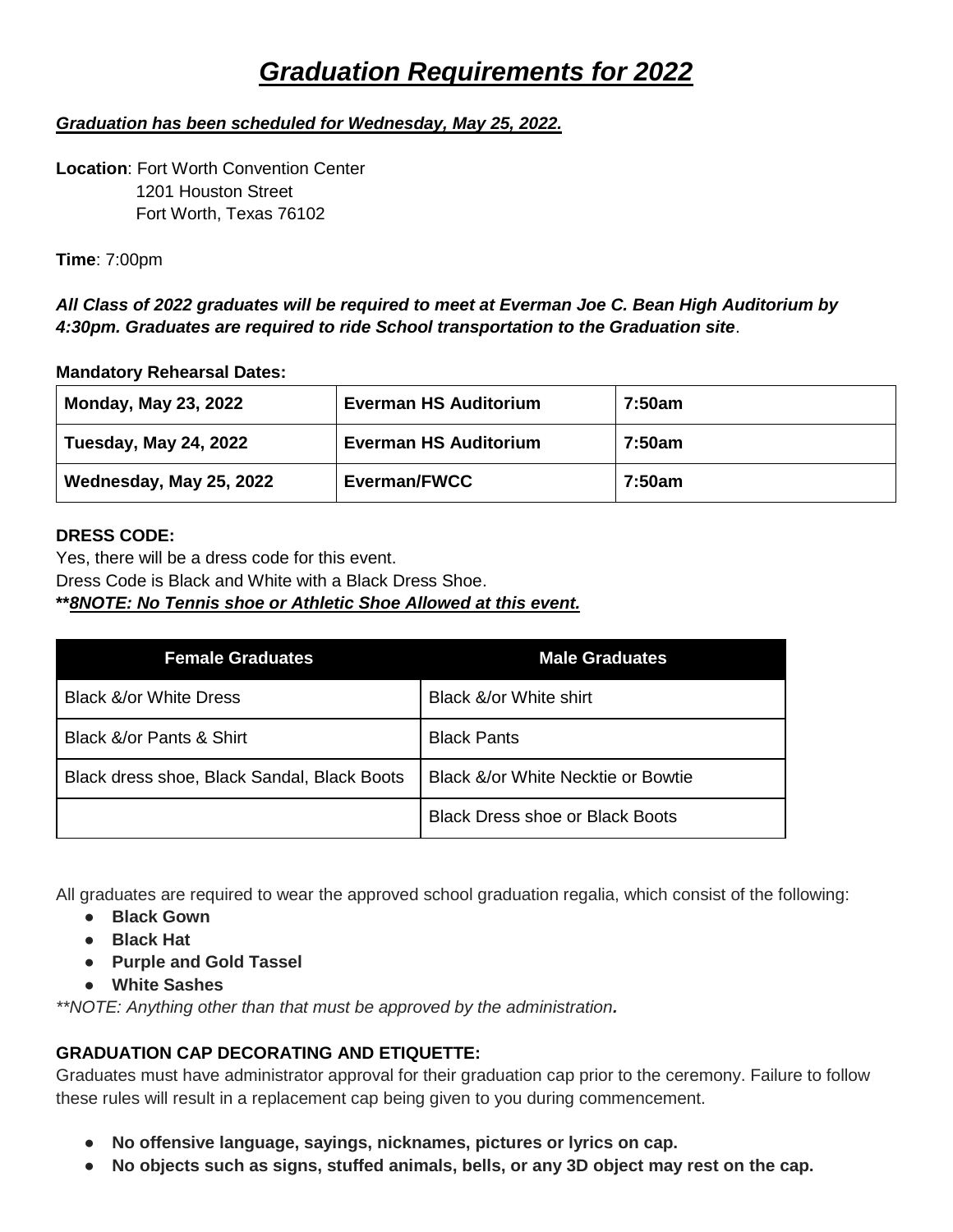# *Graduation Requirements for 2022*

### *Graduation has been scheduled for Wednesday, May 25, 2022.*

**Location**: Fort Worth Convention Center 1201 Houston Street Fort Worth, Texas 76102

**Time**: 7:00pm

*All Class of 2022 graduates will be required to meet at Everman Joe C. Bean High Auditorium by 4:30pm. Graduates are required to ride School transportation to the Graduation site*.

### **Mandatory Rehearsal Dates:**

| <b>Monday, May 23, 2022</b>  | <b>Everman HS Auditorium</b> | 7:50am |
|------------------------------|------------------------------|--------|
| <b>Tuesday, May 24, 2022</b> | <b>Everman HS Auditorium</b> | 7:50am |
| Wednesday, May 25, 2022      | Everman/FWCC                 | 7:50am |

### **DRESS CODE:**

Yes, there will be a dress code for this event. Dress Code is Black and White with a Black Dress Shoe. **\*\****8NOTE: No Tennis shoe or Athletic Shoe Allowed at this event.*

| <b>Female Graduates</b>                     | <b>Male Graduates</b>                  |
|---------------------------------------------|----------------------------------------|
| <b>Black &amp;/or White Dress</b>           | Black &/or White shirt                 |
| Black &/or Pants & Shirt                    | <b>Black Pants</b>                     |
| Black dress shoe, Black Sandal, Black Boots | Black &/or White Necktie or Bowtie     |
|                                             | <b>Black Dress shoe or Black Boots</b> |

All graduates are required to wear the approved school graduation regalia, which consist of the following:

- **Black Gown**
- **Black Hat**
- **Purple and Gold Tassel**
- **White Sashes**

*\*\*NOTE: Anything other than that must be approved by the administration.*

### **GRADUATION CAP DECORATING AND ETIQUETTE:**

Graduates must have administrator approval for their graduation cap prior to the ceremony. Failure to follow these rules will result in a replacement cap being given to you during commencement.

- **No offensive language, sayings, nicknames, pictures or lyrics on cap.**
- **No objects such as signs, stuffed animals, bells, or any 3D object may rest on the cap.**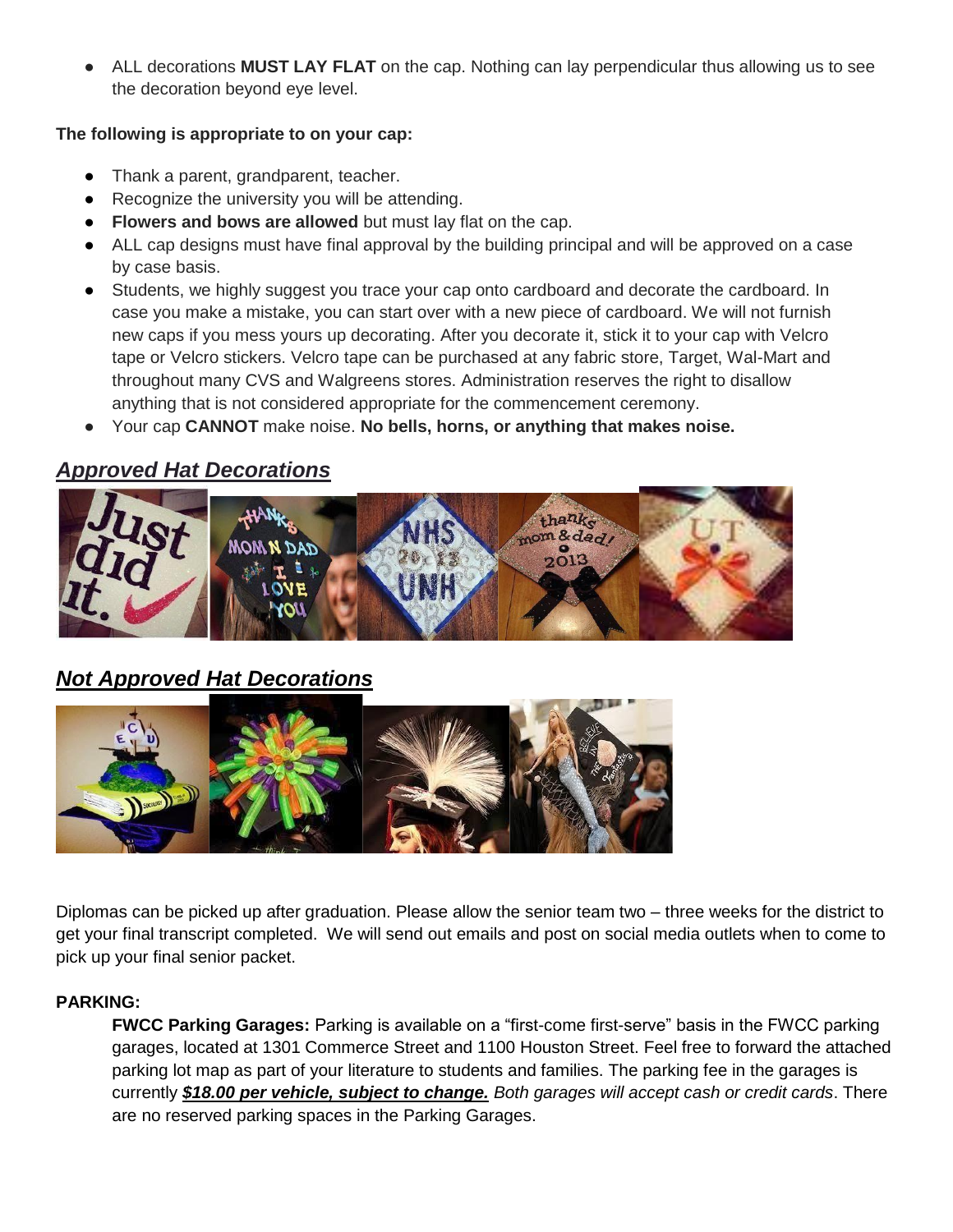ALL decorations **MUST LAY FLAT** on the cap. Nothing can lay perpendicular thus allowing us to see the decoration beyond eye level.

### **The following is appropriate to on your cap:**

- Thank a parent, grandparent, teacher.
- Recognize the university you will be attending.
- **Flowers and bows are allowed** but must lay flat on the cap.
- ALL cap designs must have final approval by the building principal and will be approved on a case by case basis.
- Students, we highly suggest you trace your cap onto cardboard and decorate the cardboard. In case you make a mistake, you can start over with a new piece of cardboard. We will not furnish new caps if you mess yours up decorating. After you decorate it, stick it to your cap with Velcro tape or Velcro stickers. Velcro tape can be purchased at any fabric store, Target, Wal-Mart and throughout many CVS and Walgreens stores. Administration reserves the right to disallow anything that is not considered appropriate for the commencement ceremony.
- Your cap **CANNOT** make noise. **No bells, horns, or anything that makes noise.**

# *Approved Hat Decorations*



# *Not Approved Hat Decorations*



Diplomas can be picked up after graduation. Please allow the senior team two – three weeks for the district to get your final transcript completed. We will send out emails and post on social media outlets when to come to pick up your final senior packet.

### **PARKING:**

**FWCC Parking Garages:** Parking is available on a "first-come first-serve" basis in the FWCC parking garages, located at 1301 Commerce Street and 1100 Houston Street. Feel free to forward the attached parking lot map as part of your literature to students and families. The parking fee in the garages is currently *\$18.00 per vehicle, subject to change. Both garages will accept cash or credit cards*. There are no reserved parking spaces in the Parking Garages.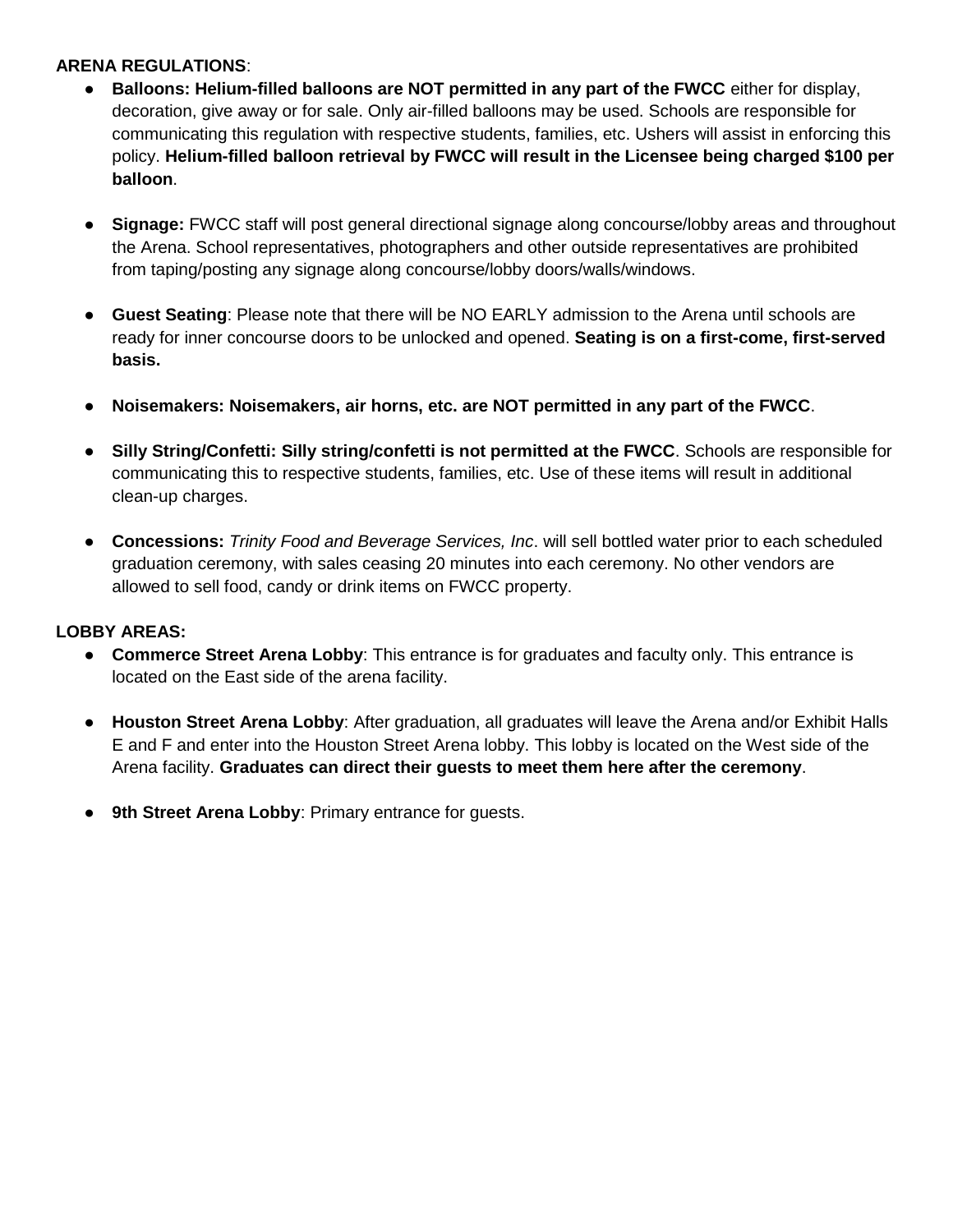### **ARENA REGULATIONS**:

- **Balloons: Helium-filled balloons are NOT permitted in any part of the FWCC** either for display, decoration, give away or for sale. Only air-filled balloons may be used. Schools are responsible for communicating this regulation with respective students, families, etc. Ushers will assist in enforcing this policy. **Helium-filled balloon retrieval by FWCC will result in the Licensee being charged \$100 per balloon**.
- **Signage:** FWCC staff will post general directional signage along concourse/lobby areas and throughout the Arena. School representatives, photographers and other outside representatives are prohibited from taping/posting any signage along concourse/lobby doors/walls/windows.
- **Guest Seating:** Please note that there will be NO EARLY admission to the Arena until schools are ready for inner concourse doors to be unlocked and opened. **Seating is on a first-come, first-served basis.**
- **Noisemakers: Noisemakers, air horns, etc. are NOT permitted in any part of the FWCC**.
- **Silly String/Confetti: Silly string/confetti is not permitted at the FWCC**. Schools are responsible for communicating this to respective students, families, etc. Use of these items will result in additional clean-up charges.
- **Concessions:** *Trinity Food and Beverage Services, Inc*. will sell bottled water prior to each scheduled graduation ceremony, with sales ceasing 20 minutes into each ceremony. No other vendors are allowed to sell food, candy or drink items on FWCC property.

### **LOBBY AREAS:**

- **Commerce Street Arena Lobby**: This entrance is for graduates and faculty only. This entrance is located on the East side of the arena facility.
- **Houston Street Arena Lobby**: After graduation, all graduates will leave the Arena and/or Exhibit Halls E and F and enter into the Houston Street Arena lobby. This lobby is located on the West side of the Arena facility. **Graduates can direct their guests to meet them here after the ceremony**.
- 9th Street Arena Lobby: Primary entrance for guests.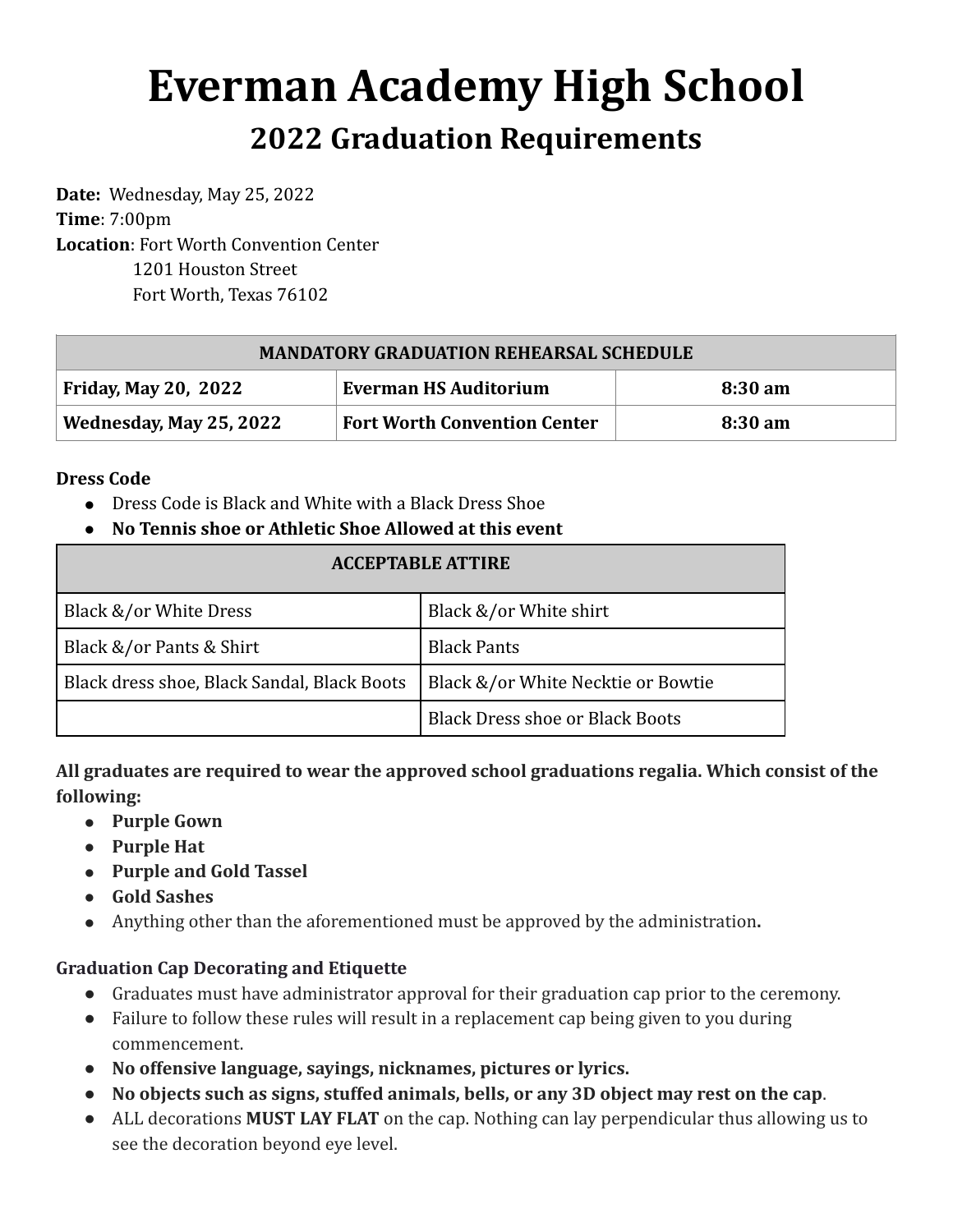# **Everman Academy High School 2022 Graduation Requirements**

Date: Wednesday, May 25, 2022 **Time**: 7:00pm Location: Fort Worth Convention Center 1201 Houston Street Fort Worth, Texas 76102

| <b>MANDATORY GRADUATION REHEARSAL SCHEDULE</b> |                                     |         |  |
|------------------------------------------------|-------------------------------------|---------|--|
| Friday, May 20, 2022                           | <b>Everman HS Auditorium</b>        | 8:30 am |  |
| Wednesday, May 25, 2022                        | <b>Fort Worth Convention Center</b> | 8:30 am |  |

### **Dress Code**

- Dress Code is Black and White with a Black Dress Shoe
- **● No Tennis shoe or Athletic Shoe Allowed at this event**

| <b>ACCEPTABLE ATTIRE</b>                    |                                        |  |
|---------------------------------------------|----------------------------------------|--|
| Black &/or White Dress                      | Black &/or White shirt                 |  |
| Black &/or Pants & Shirt                    | <b>Black Pants</b>                     |  |
| Black dress shoe, Black Sandal, Black Boots | Black &/or White Necktie or Bowtie     |  |
|                                             | <b>Black Dress shoe or Black Boots</b> |  |

All graduates are required to wear the approved school graduations regalia. Which consist of the **following:**

- **● Purple Gown**
- **● Purple Hat**
- **•** Purple and Gold Tassel
- **● Gold Sashes**
- Anything other than the aforementioned must be approved by the administration.

### **Graduation Cap Decorating and Etiquette**

- Graduates must have administrator approval for their graduation cap prior to the ceremony.
- Failure to follow these rules will result in a replacement cap being given to you during commencement.
- No offensive language, sayings, nicknames, pictures or lyrics.
- No objects such as signs, stuffed animals, bells, or any 3D object may rest on the cap.
- ALL decorations **MUST LAY FLAT** on the cap. Nothing can lay perpendicular thus allowing us to see the decoration beyond eye level.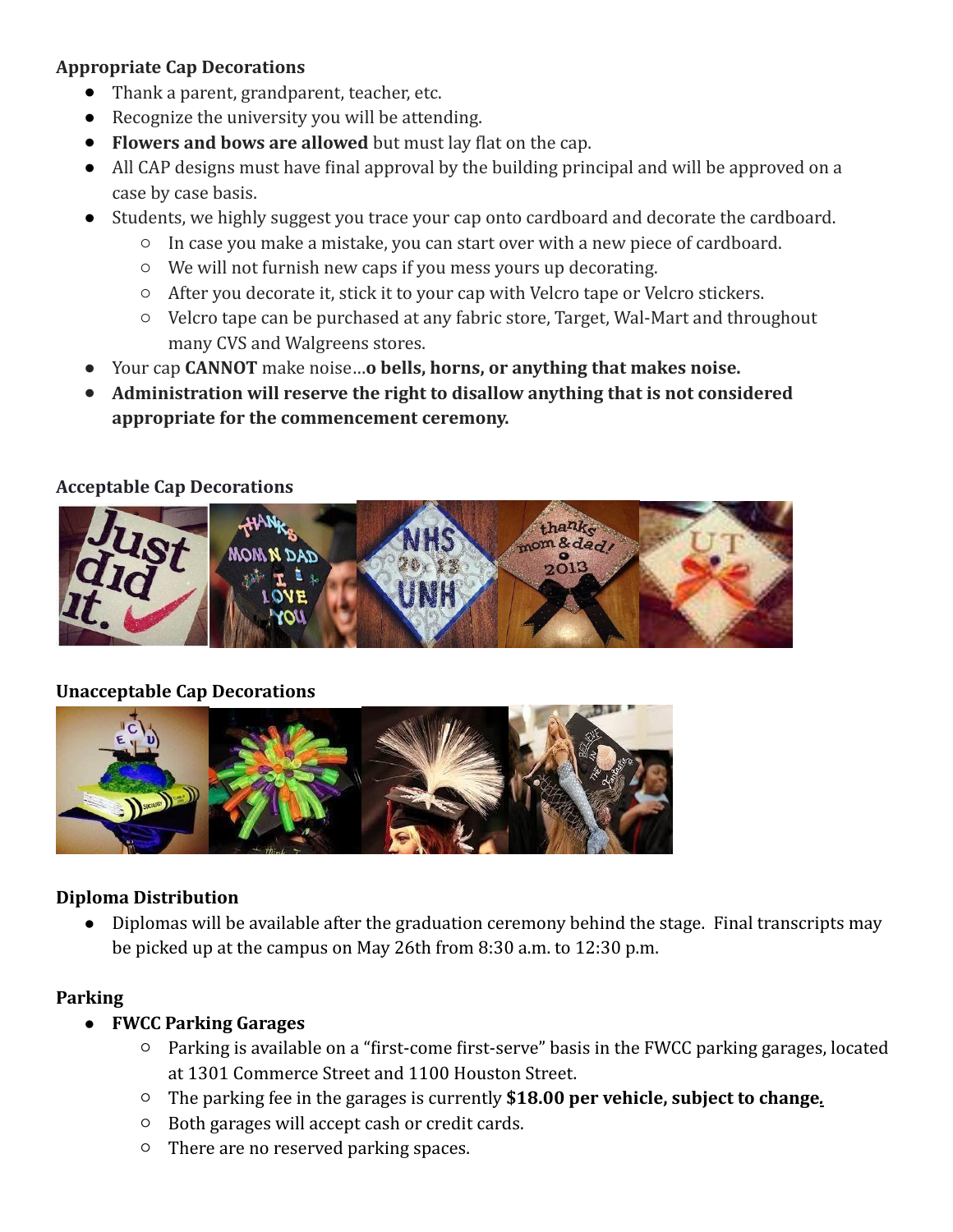### **Appropriate Cap Decorations**

- Thank a parent, grandparent, teacher, etc.
- $\bullet$  Recognize the university you will be attending.
- Flowers and bows are allowed but must lay flat on the cap.
- All CAP designs must have final approval by the building principal and will be approved on a case by case basis.
- Students, we highly suggest you trace your cap onto cardboard and decorate the cardboard.
	- $\circ$  In case you make a mistake, you can start over with a new piece of cardboard.
	- $\circ$  We will not furnish new caps if you mess yours up decorating.
	- $\circ$  After you decorate it, stick it to your cap with Velcro tape or Velcro stickers.
	- $\circ$  Velcro tape can be purchased at any fabric store, Target, Wal-Mart and throughout many CVS and Walgreens stores.
- Your cap **CANNOT** make noise...o **bells, horns, or anything that makes noise.**
- Administration will reserve the right to disallow anything that is not considered appropriate for the commencement ceremony.

## **Acceptable Cap Decorations**



# **Unacceptable Cap Decorations**



# **Diploma Distribution**

Diplomas will be available after the graduation ceremony behind the stage. Final transcripts may be picked up at the campus on May 26th from  $8:30$  a.m. to  $12:30$  p.m.

# **Parking**

- **FWCC Parking Garages**
	- $\circ$  Parking is available on a "first-come first-serve" basis in the FWCC parking garages, located at 1301 Commerce Street and 1100 Houston Street.
	- $\circ$  The parking fee in the garages is currently \$18.00 per vehicle, subject to change.
	- $\circ$  Both garages will accept cash or credit cards.
	- $\circ$  There are no reserved parking spaces.